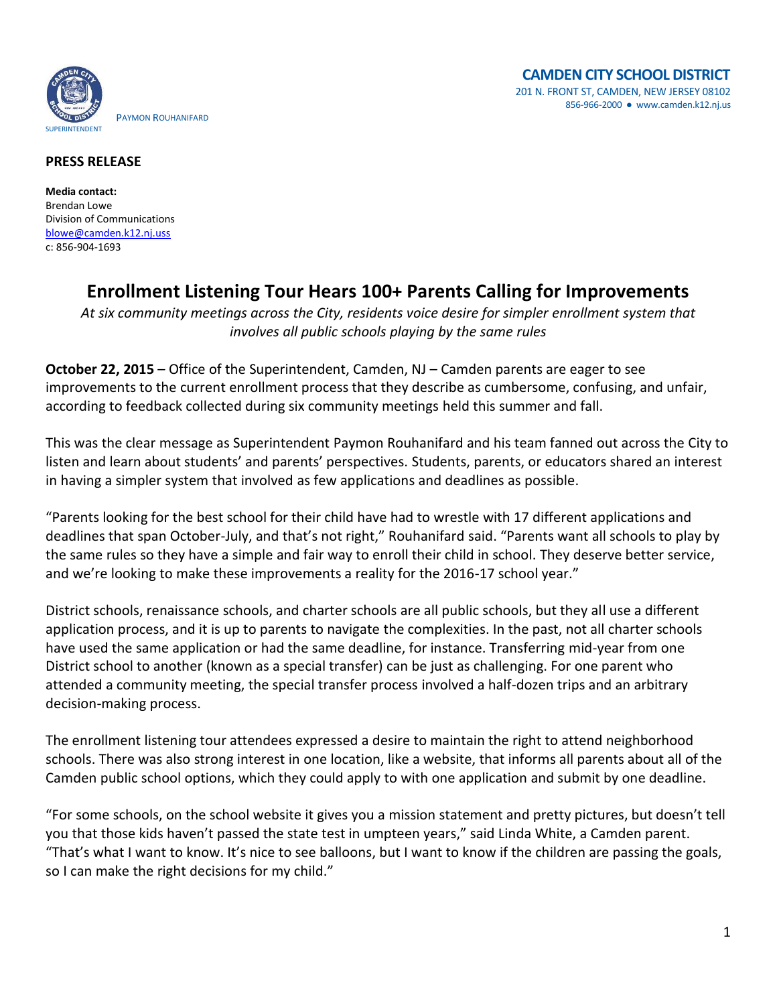

## **PRESS RELEASE**

**Media contact:** Brendan Lowe Division of Communications [blowe@camden.k12.nj.uss](mailto:blowe@camden.k12.nj.us) c: 856-904-1693

## **Enrollment Listening Tour Hears 100+ Parents Calling for Improvements**

*At six community meetings across the City, residents voice desire for simpler enrollment system that involves all public schools playing by the same rules*

**October 22, 2015** – Office of the Superintendent, Camden, NJ – Camden parents are eager to see improvements to the current enrollment process that they describe as cumbersome, confusing, and unfair, according to feedback collected during six community meetings held this summer and fall.

This was the clear message as Superintendent Paymon Rouhanifard and his team fanned out across the City to listen and learn about students' and parents' perspectives. Students, parents, or educators shared an interest in having a simpler system that involved as few applications and deadlines as possible.

"Parents looking for the best school for their child have had to wrestle with 17 different applications and deadlines that span October-July, and that's not right," Rouhanifard said. "Parents want all schools to play by the same rules so they have a simple and fair way to enroll their child in school. They deserve better service, and we're looking to make these improvements a reality for the 2016-17 school year."

District schools, renaissance schools, and charter schools are all public schools, but they all use a different application process, and it is up to parents to navigate the complexities. In the past, not all charter schools have used the same application or had the same deadline, for instance. Transferring mid-year from one District school to another (known as a special transfer) can be just as challenging. For one parent who attended a community meeting, the special transfer process involved a half-dozen trips and an arbitrary decision-making process.

The enrollment listening tour attendees expressed a desire to maintain the right to attend neighborhood schools. There was also strong interest in one location, like a website, that informs all parents about all of the Camden public school options, which they could apply to with one application and submit by one deadline.

"For some schools, on the school website it gives you a mission statement and pretty pictures, but doesn't tell you that those kids haven't passed the state test in umpteen years," said Linda White, a Camden parent. "That's what I want to know. It's nice to see balloons, but I want to know if the children are passing the goals, so I can make the right decisions for my child."